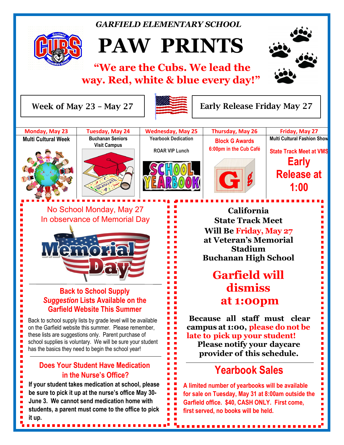## *GARFIELD ELEMENTARY SCHOOL*



# **PAW PRINTS**

# **"We are the Cubs. We lead the way. Red, white & blue every day!"**



 $\ddot{ }$ 

Ē,

Ľ

Week of May 23 – May 27



Early Release Friday May 27



E

Е

Ē

Ē Ė Ē

E

Ľ

Ē

Ē

Ē

No School Monday, May 27 **Philip California** In observance of Memorial Day



## **Back to School Supply** *Suggestion* **Lists Available on the Garfield Website This Summer**

school supplies is voluntary. We will be sure your student **Dec. 03 – Home vs Tarpey** Back to school supply lists by grade level will be available on the Garfield website this summer. Please remember, these lists are suggestions only. Parent purchase of has the basics they need to begin the school year!

#### **Jan. 07- Home vs Woods Dec. 10 – Garfield @ Century in the Nurse's Office? Does Your Student Have Medication**

**Dec. 16 – Home vs Cole (Thursday Games)**

г

×

 $\blacksquare$ 

I,

 $\blacksquare$ 

 $\blacksquare$ 

Ē

 $\blacksquare$ 

 $\blacksquare$ 

**If your student takes medication at school, please be sure to pick it up at the nurse's office May 30-June 3. We cannot send medication home with Basketball – Box Basketball –** *During the USIS of During With Students,* **a parent must come to the office to pick Girls Basketball – JV & Varsity @ 3:15 it up.**

**California**  $\frac{1}{2}$  state terms with  $\frac{1}{2}$ **Will Be Friday, May 27** at Veteran's Memorial **stadium** Puchanan High School learned. We're very excited about the progress our Cubs **Buchanan High School State Track Meet**

#### $\sim$   $\sim$   $\sim$   $\sim$  11 **What is expected** will  $\mathbf{E}$  and  $\mathbf{E}$ **dismiss at 1:00pm**

**Because all staff must clear campus** at **1:00, please do** not be late to pick up your student! **Please notify your daycare provider** of this schedule. • Take your time and stay focused.

#### **Yearbook Sales**  $\ddotsc$   $\ddotsc$

A limited number of yearbooks will be available for sale on Tuesday, May 31 at 8:00am outside the Garfield office. \$40, CASH ONLY. First come, first served, no books will be held.

.................